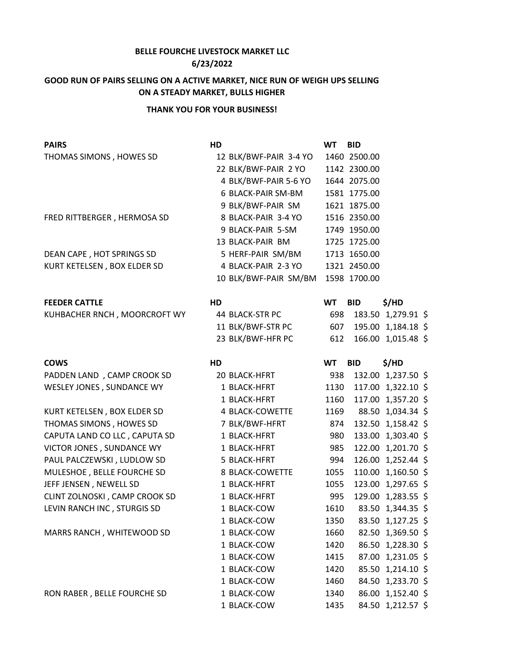## **BELLE FOURCHE LIVESTOCK MARKET LLC 6/23/2022**

## **GOOD RUN OF PAIRS SELLING ON A ACTIVE MARKET, NICE RUN OF WEIGH UPS SELLING ON A STEADY MARKET, BULLS HIGHER**

## **THANK YOU FOR YOUR BUSINESS!**

| <b>PAIRS</b>                  | HD                     | <b>WT</b> | <b>BID</b>   |                    |
|-------------------------------|------------------------|-----------|--------------|--------------------|
| THOMAS SIMONS, HOWES SD       | 12 BLK/BWF-PAIR 3-4 YO |           | 1460 2500.00 |                    |
|                               | 22 BLK/BWF-PAIR 2 YO   |           | 1142 2300.00 |                    |
|                               | 4 BLK/BWF-PAIR 5-6 YO  |           | 1644 2075.00 |                    |
|                               | 6 BLACK-PAIR SM-BM     |           | 1581 1775.00 |                    |
|                               | 9 BLK/BWF-PAIR SM      |           | 1621 1875.00 |                    |
| FRED RITTBERGER, HERMOSA SD   | 8 BLACK-PAIR 3-4 YO    |           | 1516 2350.00 |                    |
|                               | 9 BLACK-PAIR 5-SM      |           | 1749 1950.00 |                    |
|                               | 13 BLACK-PAIR BM       |           | 1725 1725.00 |                    |
| DEAN CAPE, HOT SPRINGS SD     | 5 HERF-PAIR SM/BM      |           | 1713 1650.00 |                    |
| KURT KETELSEN, BOX ELDER SD   | 4 BLACK-PAIR 2-3 YO    |           | 1321 2450.00 |                    |
|                               | 10 BLK/BWF-PAIR SM/BM  |           | 1598 1700.00 |                    |
| <b>FEEDER CATTLE</b>          | HD                     | <b>WT</b> | <b>BID</b>   | \$/HD              |
| KUHBACHER RNCH, MOORCROFT WY  | 44 BLACK-STR PC        | 698       |              | 183.50 1,279.91 \$ |
|                               | 11 BLK/BWF-STR PC      | 607       |              | 195.00 1,184.18 \$ |
|                               | 23 BLK/BWF-HFR PC      | 612       |              | 166.00 1,015.48 \$ |
| <b>COWS</b>                   | HD                     | WT        | <b>BID</b>   | \$/HD              |
| PADDEN LAND, CAMP CROOK SD    | 20 BLACK-HFRT          | 938       |              | 132.00 1,237.50 \$ |
| WESLEY JONES, SUNDANCE WY     | 1 BLACK-HFRT           | 1130      |              | 117.00 1,322.10 \$ |
|                               | 1 BLACK-HFRT           | 1160      |              | 117.00 1,357.20 \$ |
| KURT KETELSEN, BOX ELDER SD   | 4 BLACK-COWETTE        | 1169      |              | 88.50 1,034.34 \$  |
| THOMAS SIMONS, HOWES SD       | 7 BLK/BWF-HFRT         | 874       |              | 132.50 1,158.42 \$ |
| CAPUTA LAND CO LLC, CAPUTA SD | 1 BLACK-HFRT           | 980       |              | 133.00 1,303.40 \$ |
| VICTOR JONES, SUNDANCE WY     | 1 BLACK-HFRT           | 985       |              | 122.00 1,201.70 \$ |
| PAUL PALCZEWSKI, LUDLOW SD    | 5 BLACK-HFRT           | 994       |              | 126.00 1,252.44 \$ |
| MULESHOE, BELLE FOURCHE SD    | 8 BLACK-COWETTE        | 1055      |              | 110.00 1,160.50 \$ |
| JEFF JENSEN, NEWELL SD        | 1 BLACK-HFRT           | 1055      |              | 123.00 1,297.65 \$ |
| CLINT ZOLNOSKI, CAMP CROOK SD | 1 BLACK-HFRT           | 995       |              | 129.00 1,283.55 \$ |
| LEVIN RANCH INC, STURGIS SD   | 1 BLACK-COW            | 1610      |              | 83.50 1,344.35 \$  |
|                               | 1 BLACK-COW            | 1350      |              | 83.50 1,127.25 \$  |
| MARRS RANCH, WHITEWOOD SD     | 1 BLACK-COW            | 1660      |              | 82.50 1,369.50 \$  |
|                               | 1 BLACK-COW            | 1420      |              | 86.50 1,228.30 \$  |
|                               | 1 BLACK-COW            | 1415      |              | 87.00 1,231.05 \$  |
|                               | 1 BLACK-COW            | 1420      |              | 85.50 1,214.10 \$  |
|                               | 1 BLACK-COW            | 1460      |              | 84.50 1,233.70 \$  |
| RON RABER, BELLE FOURCHE SD   | 1 BLACK-COW            | 1340      |              | 86.00 1,152.40 \$  |
|                               | 1 BLACK-COW            | 1435      |              | 84.50 1,212.57 \$  |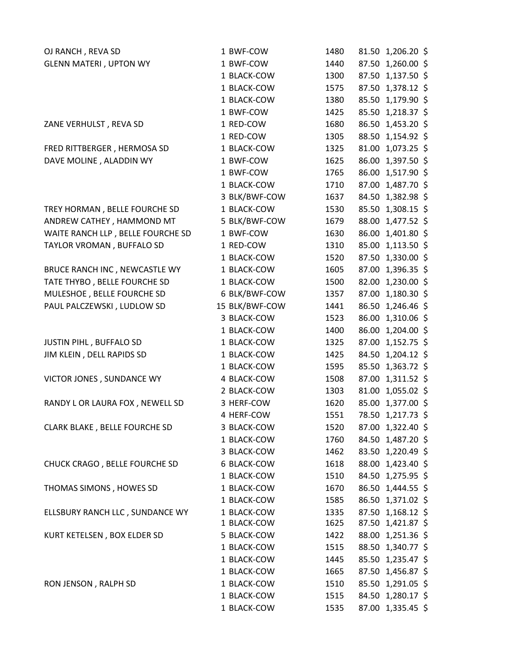| OJ RANCH, REVA SD                 | 1 BWF-COW      | 1480 |       | 81.50 1,206.20 \$ |
|-----------------------------------|----------------|------|-------|-------------------|
| <b>GLENN MATERI, UPTON WY</b>     | 1 BWF-COW      | 1440 |       | 87.50 1,260.00 \$ |
|                                   | 1 BLACK-COW    | 1300 |       | 87.50 1,137.50 \$ |
|                                   | 1 BLACK-COW    | 1575 |       | 87.50 1,378.12 \$ |
|                                   | 1 BLACK-COW    | 1380 |       | 85.50 1,179.90 \$ |
|                                   | 1 BWF-COW      | 1425 |       | 85.50 1,218.37 \$ |
| ZANE VERHULST, REVA SD            | 1 RED-COW      | 1680 |       | 86.50 1,453.20 \$ |
|                                   | 1 RED-COW      | 1305 |       | 88.50 1,154.92 \$ |
| FRED RITTBERGER, HERMOSA SD       | 1 BLACK-COW    | 1325 | 81.00 | 1,073.25 \$       |
| DAVE MOLINE, ALADDIN WY           | 1 BWF-COW      | 1625 |       | 86.00 1,397.50 \$ |
|                                   | 1 BWF-COW      | 1765 |       | 86.00 1,517.90 \$ |
|                                   | 1 BLACK-COW    | 1710 |       | 87.00 1,487.70 \$ |
|                                   | 3 BLK/BWF-COW  | 1637 |       | 84.50 1,382.98 \$ |
| TREY HORMAN, BELLE FOURCHE SD     | 1 BLACK-COW    | 1530 |       | 85.50 1,308.15 \$ |
| ANDREW CATHEY, HAMMOND MT         | 5 BLK/BWF-COW  | 1679 |       | 88.00 1,477.52 \$ |
| WAITE RANCH LLP, BELLE FOURCHE SD | 1 BWF-COW      | 1630 |       | 86.00 1,401.80 \$ |
| TAYLOR VROMAN, BUFFALO SD         | 1 RED-COW      | 1310 |       | 85.00 1,113.50 \$ |
|                                   | 1 BLACK-COW    | 1520 |       | 87.50 1,330.00 \$ |
| BRUCE RANCH INC, NEWCASTLE WY     | 1 BLACK-COW    | 1605 |       | 87.00 1,396.35 \$ |
| TATE THYBO, BELLE FOURCHE SD      | 1 BLACK-COW    | 1500 |       | 82.00 1,230.00 \$ |
| MULESHOE, BELLE FOURCHE SD        | 6 BLK/BWF-COW  | 1357 |       | 87.00 1,180.30 \$ |
| PAUL PALCZEWSKI, LUDLOW SD        | 15 BLK/BWF-COW | 1441 |       | 86.50 1,246.46 \$ |
|                                   | 3 BLACK-COW    | 1523 |       | 86.00 1,310.06 \$ |
|                                   | 1 BLACK-COW    | 1400 |       | 86.00 1,204.00 \$ |
| JUSTIN PIHL, BUFFALO SD           | 1 BLACK-COW    | 1325 |       | 87.00 1,152.75 \$ |
| JIM KLEIN, DELL RAPIDS SD         | 1 BLACK-COW    | 1425 |       | 84.50 1,204.12 \$ |
|                                   | 1 BLACK-COW    | 1595 |       | 85.50 1,363.72 \$ |
| VICTOR JONES, SUNDANCE WY         | 4 BLACK-COW    | 1508 |       | 87.00 1,311.52 \$ |
|                                   | 2 BLACK-COW    | 1303 |       | 81.00 1,055.02 \$ |
| RANDY L OR LAURA FOX, NEWELL SD   | 3 HERF-COW     | 1620 |       | 85.00 1,377.00 \$ |
|                                   | 4 HERF-COW     | 1551 |       | 78.50 1,217.73 \$ |
| CLARK BLAKE, BELLE FOURCHE SD     | 3 BLACK-COW    | 1520 |       | 87.00 1,322.40 \$ |
|                                   | 1 BLACK-COW    | 1760 |       | 84.50 1,487.20 \$ |
|                                   | 3 BLACK-COW    | 1462 |       | 83.50 1,220.49 \$ |
| CHUCK CRAGO, BELLE FOURCHE SD     | 6 BLACK-COW    | 1618 |       | 88.00 1,423.40 \$ |
|                                   | 1 BLACK-COW    | 1510 |       | 84.50 1,275.95 \$ |
| THOMAS SIMONS, HOWES SD           | 1 BLACK-COW    | 1670 |       | 86.50 1,444.55 \$ |
|                                   | 1 BLACK-COW    | 1585 |       | 86.50 1,371.02 \$ |
| ELLSBURY RANCH LLC, SUNDANCE WY   | 1 BLACK-COW    | 1335 |       | 87.50 1,168.12 \$ |
|                                   | 1 BLACK-COW    | 1625 |       | 87.50 1,421.87 \$ |
| KURT KETELSEN, BOX ELDER SD       | 5 BLACK-COW    | 1422 |       | 88.00 1,251.36 \$ |
|                                   | 1 BLACK-COW    | 1515 |       | 88.50 1,340.77 \$ |
|                                   | 1 BLACK-COW    | 1445 |       | 85.50 1,235.47 \$ |
|                                   | 1 BLACK-COW    | 1665 |       | 87.50 1,456.87 \$ |
| RON JENSON, RALPH SD              | 1 BLACK-COW    | 1510 |       | 85.50 1,291.05 \$ |
|                                   | 1 BLACK-COW    | 1515 |       | 84.50 1,280.17 \$ |
|                                   | 1 BLACK-COW    | 1535 |       | 87.00 1,335.45 \$ |